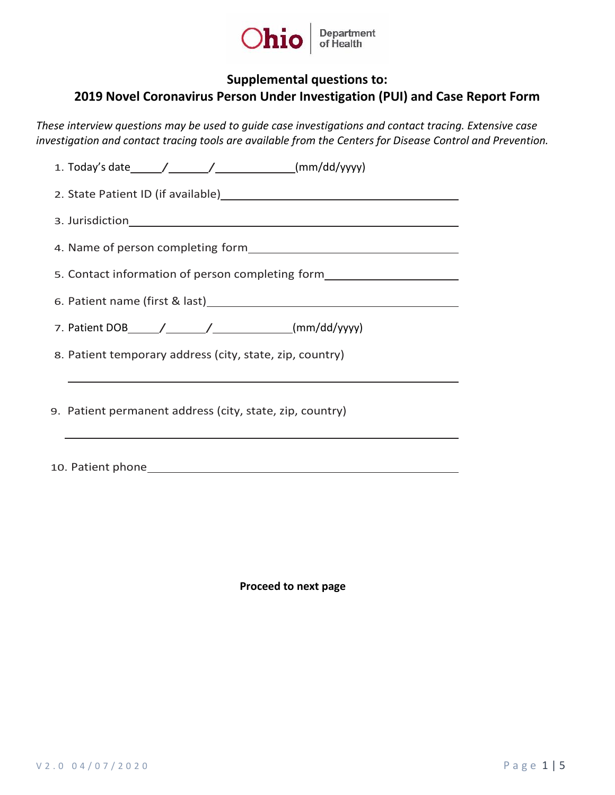

## **Supplemental questions to:**

## **2019 Novel Coronavirus Person Under Investigation (PUI) and Case Report Form**

*These interview questions may be used to guide case investigations and contact tracing. Extensive case investigation and contact tracing tools are available from the Centers for Disease Control and Prevention.* 

| 2. State Patient ID (if available) 2. State Patient ID (if available)            |
|----------------------------------------------------------------------------------|
|                                                                                  |
| 4. Name of person completing form<br><u>Land Communication</u>                   |
| 5. Contact information of person completing form________________________________ |
|                                                                                  |
|                                                                                  |
| 8. Patient temporary address (city, state, zip, country)                         |
|                                                                                  |
| 9. Patient permanent address (city, state, zip, country)                         |

10. Patient phone

**Proceed to next page**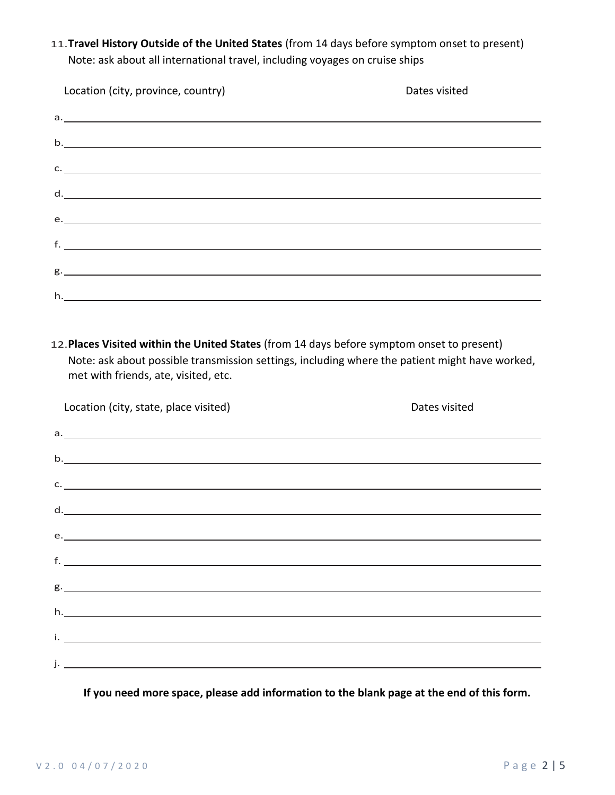11.**Travel History Outside of the United States** (from 14 days before symptom onset to present) Note: ask about all international travel, including voyages on cruise ships

| Location (city, province, country)                                                                             | Dates visited |
|----------------------------------------------------------------------------------------------------------------|---------------|
|                                                                                                                |               |
| $\mathsf{b}$ .                                                                                                 |               |
| c.                                                                                                             |               |
| d. $\overline{\phantom{a}}$                                                                                    |               |
|                                                                                                                |               |
| f. <u>All and the same of the same of the same of the same of the same of the same of the same of the same</u> |               |
| $g$ .                                                                                                          |               |
|                                                                                                                |               |
|                                                                                                                |               |

12.**Places Visited within the United States** (from 14 days before symptom onset to present) Note: ask about possible transmission settings, including where the patient might have worked, met with friends, ate, visited, etc.

| Location (city, state, place visited) | Dates visited |
|---------------------------------------|---------------|
|                                       |               |
| $\mathbf{b}$ .                        |               |
| $\mathsf{C}$ .                        |               |
| d.                                    |               |
|                                       |               |
| $f.$ $\overline{\phantom{a}}$         |               |
|                                       |               |
|                                       |               |
| $h.$ $\overline{\phantom{aa}}$        |               |
|                                       |               |
|                                       |               |

**If you need more space, please add information to the blank page at the end of this form.**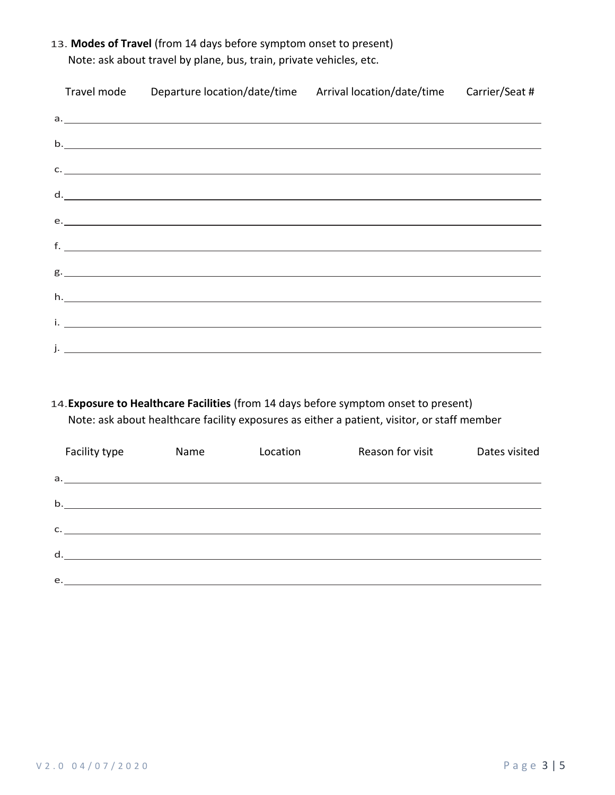13. **Modes of Travel** (from 14 days before symptom onset to present)

|  | Travel mode Departure location/date/time Arrival location/date/time Carrier/Seat #                                                                                                                                               |  |
|--|----------------------------------------------------------------------------------------------------------------------------------------------------------------------------------------------------------------------------------|--|
|  | a.                                                                                                                                                                                                                               |  |
|  | b.                                                                                                                                                                                                                               |  |
|  | $\mathsf{C}.\underline{\hspace{2.5cm}}$                                                                                                                                                                                          |  |
|  | d.                                                                                                                                                                                                                               |  |
|  | e.                                                                                                                                                                                                                               |  |
|  | $f_{\rm s}$ . The contract of the contract of the contract of the contract of the contract of the contract of the contract of the contract of the contract of the contract of the contract of the contract of the contract of th |  |
|  |                                                                                                                                                                                                                                  |  |
|  | h.                                                                                                                                                                                                                               |  |
|  |                                                                                                                                                                                                                                  |  |
|  |                                                                                                                                                                                                                                  |  |
|  | j. <u>– Jan Alexander von de la provincia de la provincia de la provincia de la provincia de la provincia de la p</u>                                                                                                            |  |

Note: ask about travel by plane, bus, train, private vehicles, etc.

14.**Exposure to Healthcare Facilities** (from 14 days before symptom onset to present) Note: ask about healthcare facility exposures as either a patient, visitor, or staff member

| Facility type  | Name | Location | Reason for visit | Dates visited |
|----------------|------|----------|------------------|---------------|
|                |      |          |                  |               |
| $\mathsf{b}$ . |      |          |                  |               |
|                |      |          |                  |               |
| d.             |      |          |                  |               |
| e.             |      |          |                  |               |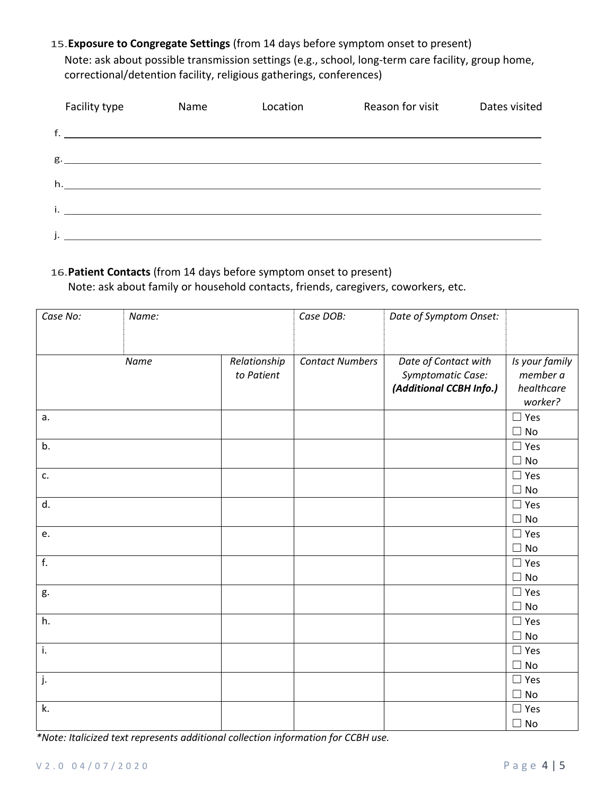## 15.**Exposure to Congregate Settings** (from 14 days before symptom onset to present)

Note: ask about possible transmission settings (e.g., school, long-term care facility, group home, correctional/detention facility, religious gatherings, conferences)

| Facility type | Name | Location | Reason for visit | Dates visited |
|---------------|------|----------|------------------|---------------|
|               |      |          |                  |               |
|               |      |          |                  |               |
|               |      |          |                  |               |
|               |      |          |                  |               |
|               |      |          |                  |               |

## 16.**Patient Contacts** (from 14 days before symptom onset to present)

Note: ask about family or household contacts, friends, caregivers, coworkers, etc.

| Case No:         | Name: |                            | Case DOB:              | Date of Symptom Onset:                                               |                                                     |
|------------------|-------|----------------------------|------------------------|----------------------------------------------------------------------|-----------------------------------------------------|
|                  |       |                            |                        |                                                                      |                                                     |
|                  | Name  | Relationship<br>to Patient | <b>Contact Numbers</b> | Date of Contact with<br>Symptomatic Case:<br>(Additional CCBH Info.) | Is your family<br>member a<br>healthcare<br>worker? |
| a.               |       |                            |                        |                                                                      | $\Box$ Yes<br>$\Box$ No                             |
| b.               |       |                            |                        |                                                                      | $\Box$ Yes<br>$\square$ No                          |
| c.               |       |                            |                        |                                                                      | $\Box$ Yes<br>$\square$ No                          |
| d.               |       |                            |                        |                                                                      | $\Box$ Yes<br>$\Box$ No                             |
| e.               |       |                            |                        |                                                                      | $\Box$ Yes<br>$\Box$ No                             |
| $\overline{f}$ . |       |                            |                        |                                                                      | $\Box$ Yes<br>$\square$ No                          |
| g.               |       |                            |                        |                                                                      | $\Box$ Yes<br>$\square$ No                          |
| h.               |       |                            |                        |                                                                      | $\Box$ Yes<br>$\Box$ No                             |
| i.               |       |                            |                        |                                                                      | $\Box$ Yes<br>$\Box$ No                             |
| j.               |       |                            |                        |                                                                      | $\Box$ Yes<br>$\square$ No                          |
| k.               |       |                            |                        |                                                                      | $\Box$ Yes<br>$\Box$ No                             |

*\*Note: Italicized text represents additional collection information for CCBH use.*